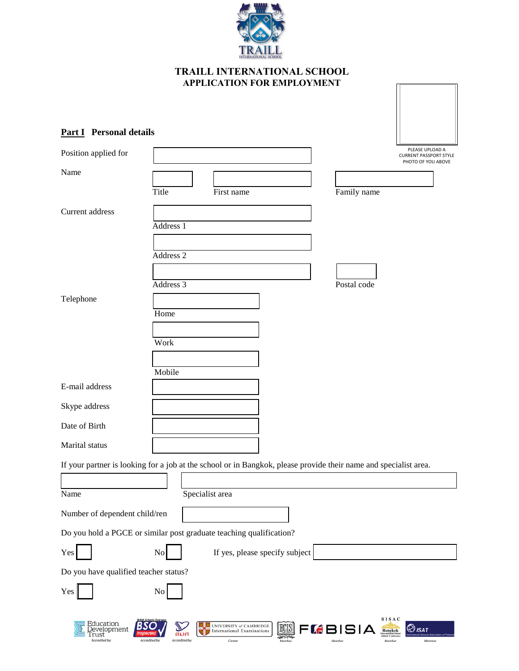

# **Part I Personal details**

| Position applied for                               |                                                                                                                        | PLEASE UPLOAD A<br><b>CURRENT PASSPORT STYLE</b><br>PHOTO OF YOU ABOVE |
|----------------------------------------------------|------------------------------------------------------------------------------------------------------------------------|------------------------------------------------------------------------|
| Name                                               |                                                                                                                        |                                                                        |
|                                                    | Title<br>Family name<br>First name                                                                                     |                                                                        |
| Current address                                    |                                                                                                                        |                                                                        |
|                                                    | Address 1                                                                                                              |                                                                        |
|                                                    | Address <sub>2</sub>                                                                                                   |                                                                        |
|                                                    |                                                                                                                        |                                                                        |
|                                                    | Address 3<br>Postal code                                                                                               |                                                                        |
| Telephone                                          |                                                                                                                        |                                                                        |
|                                                    | Home                                                                                                                   |                                                                        |
|                                                    | Work                                                                                                                   |                                                                        |
|                                                    |                                                                                                                        |                                                                        |
|                                                    | Mobile                                                                                                                 |                                                                        |
| E-mail address                                     |                                                                                                                        |                                                                        |
| Skype address                                      |                                                                                                                        |                                                                        |
| Date of Birth                                      |                                                                                                                        |                                                                        |
| Marital status                                     |                                                                                                                        |                                                                        |
|                                                    | If your partner is looking for a job at the school or in Bangkok, please provide their name and specialist area.       |                                                                        |
|                                                    |                                                                                                                        |                                                                        |
| Name                                               | Specialist area                                                                                                        |                                                                        |
| Number of dependent child/ren                      |                                                                                                                        |                                                                        |
|                                                    | Do you hold a PGCE or similar post graduate teaching qualification?                                                    |                                                                        |
| Yes                                                | If yes, please specify subject<br>No                                                                                   |                                                                        |
| Do you have qualified teacher status?              |                                                                                                                        |                                                                        |
| Yes                                                | N <sub>0</sub>                                                                                                         |                                                                        |
|                                                    |                                                                                                                        |                                                                        |
| Education<br>)evelopment<br>Trust<br>Accredited by | BISAC<br><b>EXECUTIVERSITY of CAMBRIDGE</b><br>ECIS<br>FLBISIA<br><b>Bangkok</b><br>International Examinations<br>ีสมศ | $\bigotimes_{I\mathcal{S}\mathcal{A}}\mathcal{T}$                      |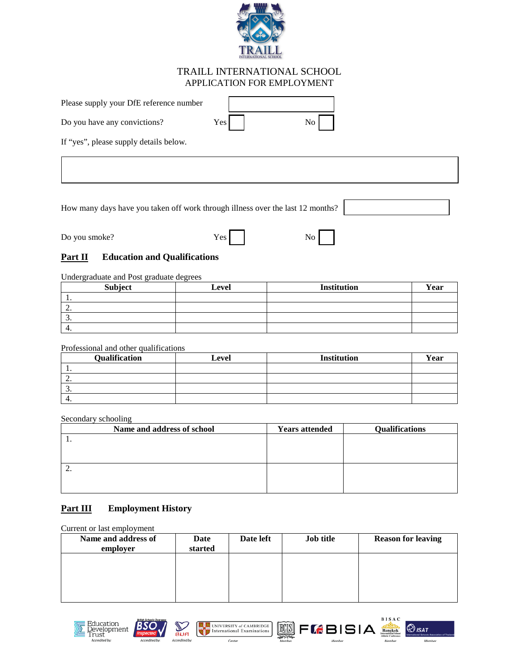

| Please supply your DfE reference number |                  |                                                 |
|-----------------------------------------|------------------|-------------------------------------------------|
| Do you have any convictions?            | Yes <sub>l</sub> | $\overline{N_{\rm O}}$ $\overline{\phantom{a}}$ |
| $  -$                                   |                  |                                                 |

If "yes", please supply details below.

How many days have you taken off work through illness over the last 12 months?

Do you smoke? Yes

### **Part II** Education and Qualifications

Undergraduate and Post graduate degrees

| <b>Subject</b> | Level | <b>Institution</b> | Year |
|----------------|-------|--------------------|------|
| . .            |       |                    |      |
| <u>.</u>       |       |                    |      |
| <u>.</u>       |       |                    |      |
| 4.             |       |                    |      |

Professional and other qualifications

| <b>Qualification</b> | Level | <b>Institution</b> | Year |
|----------------------|-------|--------------------|------|
| . .                  |       |                    |      |
| <u>.</u>             |       |                    |      |
| <u>.</u>             |       |                    |      |
| 4.                   |       |                    |      |

Secondary schooling

| Name and address of school | <b>Years attended</b> | <b>Qualifications</b> |
|----------------------------|-----------------------|-----------------------|
| . .                        |                       |                       |
|                            |                       |                       |
|                            |                       |                       |
| <u>.</u>                   |                       |                       |
|                            |                       |                       |
|                            |                       |                       |

# **Part III Employment History**

Current or last employment

| Name and address of<br>employer | Date<br>started | Date left | <b>Job title</b> | <b>Reason for leaving</b> |
|---------------------------------|-----------------|-----------|------------------|---------------------------|
|                                 |                 |           |                  |                           |
|                                 |                 |           |                  |                           |
|                                 |                 |           |                  |                           |









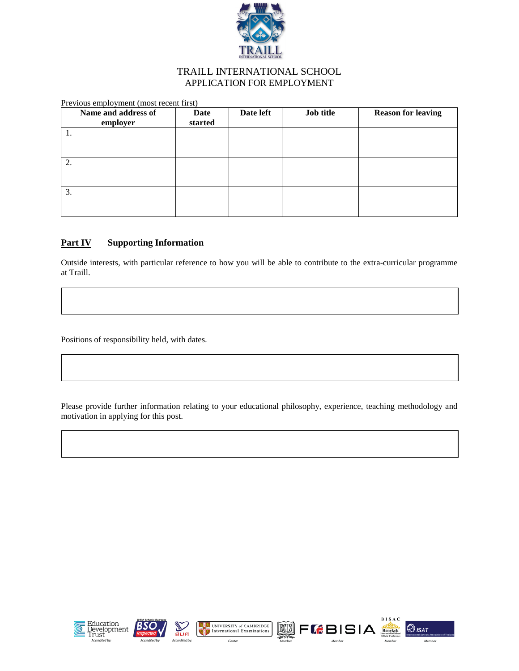

| Previous employment (most recent first) |                 |           |           |                           |  |
|-----------------------------------------|-----------------|-----------|-----------|---------------------------|--|
| Name and address of<br>employer         | Date<br>started | Date left | Job title | <b>Reason for leaving</b> |  |
| 1.                                      |                 |           |           |                           |  |
|                                         |                 |           |           |                           |  |
| 2.                                      |                 |           |           |                           |  |
|                                         |                 |           |           |                           |  |
| 3.                                      |                 |           |           |                           |  |
|                                         |                 |           |           |                           |  |

### **Part IV** Supporting Information

Outside interests, with particular reference to how you will be able to contribute to the extra-curricular programme at Traill.

Positions of responsibility held, with dates.

Please provide further information relating to your educational philosophy, experience, teaching methodology and motivation in applying for this post.









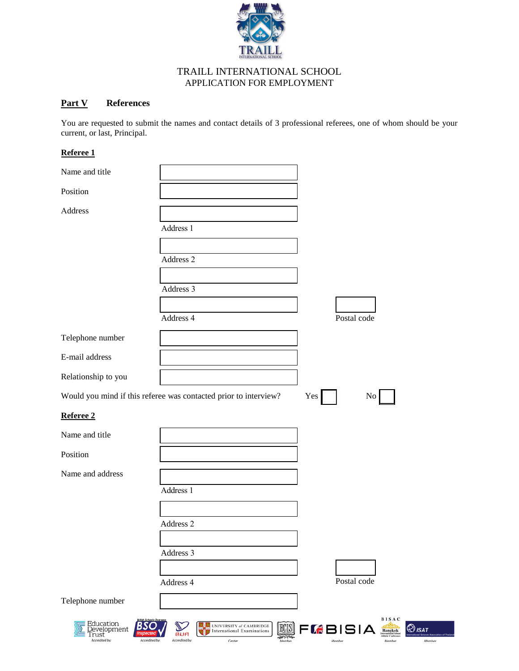

### **Part V References**

You are requested to submit the names and contact details of 3 professional referees, one of whom should be your current, or last, Principal.

#### **Referee 1**

| Name and title                                             |                                                                               |                                                   |
|------------------------------------------------------------|-------------------------------------------------------------------------------|---------------------------------------------------|
| Position                                                   |                                                                               |                                                   |
|                                                            |                                                                               |                                                   |
| Address                                                    |                                                                               |                                                   |
|                                                            | Address 1                                                                     |                                                   |
|                                                            |                                                                               |                                                   |
|                                                            | Address 2                                                                     |                                                   |
|                                                            |                                                                               |                                                   |
|                                                            | Address 3                                                                     |                                                   |
|                                                            |                                                                               |                                                   |
|                                                            | Address 4                                                                     | Postal code                                       |
| Telephone number                                           |                                                                               |                                                   |
| E-mail address                                             |                                                                               |                                                   |
| Relationship to you                                        |                                                                               |                                                   |
|                                                            | Would you mind if this referee was contacted prior to interview?              | Yes  <br>No                                       |
| Referee 2                                                  |                                                                               |                                                   |
| Name and title                                             |                                                                               |                                                   |
| Position                                                   |                                                                               |                                                   |
| Name and address                                           |                                                                               |                                                   |
|                                                            | Address 1                                                                     |                                                   |
|                                                            |                                                                               |                                                   |
|                                                            | Address 2                                                                     |                                                   |
|                                                            |                                                                               |                                                   |
|                                                            | Address 3                                                                     |                                                   |
|                                                            |                                                                               |                                                   |
|                                                            | Address 4                                                                     | Postal code                                       |
| Telephone number                                           |                                                                               |                                                   |
| Education<br><u>D</u> evelopment<br>`rust<br>Accredited by | UNIVERSITY of CAMBRIDGE<br>ECISI<br><b>International Examinations</b><br>นานห | BISAC<br>FLBISIA<br>$\bigotimes_{ISA}$<br>Bangkok |